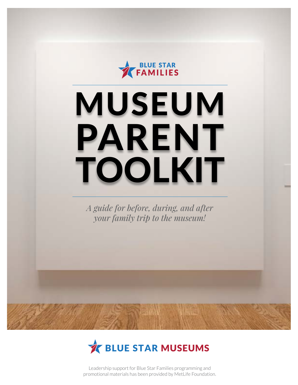

# MUSEUM PARENT TOOLKIT

*A guide for before, during, and after your family trip to the museum!*



Leadership support for Blue Star Families programming and promotional materials has been provided by MetLife Foundation.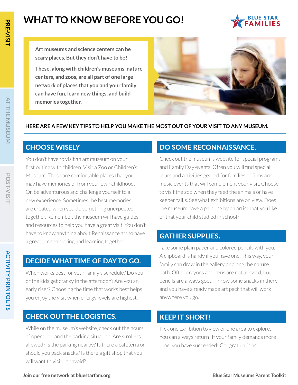### **WHAT TO KNOW BEFORE YOU GO!**



**Art museums and science centers can be scary places. But they don't have to be!** 

**These, along with children's museums, nature centers, and zoos, are all part of one large network of places that you and your family can have fun, learn new things, and build memories together.**



### **HERE ARE A FEW KEY TIPS TO HELP YOU MAKE THE MOST OUT OF YOUR VISIT TO ANY MUSEUM.**

### CHOOSE WISELY

You don't have to visit an art museum on your first outing with children. Visit a Zoo or Children's Museum. These are comfortable places that you may have memories of from your own childhood. Or, be adventurous and challenge yourself to a new experience. Sometimes the best memories are created when you do something unexpected together. Remember, the museum will have guides and resources to help you have a great visit. You don't have to know anything about Renaissance art to have a great time exploring and learning together.

### DECIDE WHAT TIME OF DAY TO GO.

When works best for your family's schedule? Do you or the kids get cranky in the afternoon? Are you an early riser? Choosing the time that works best helps you enjoy the visit when energy levels are highest.

### CHECK OUT THE LOGISTICS.

While on the museum's website, check out the hours of operation and the parking situation. Are strollers allowed? Is the parking nearby? Is there a cafeteria or should you pack snacks? Is there a gift shop that you will want to visit…or avoid?

### DO SOME RECONNAISSANCE.

Check out the museum's website for special programs and Family Day events. Often you will find special tours and activities geared for families or films and music events that will complement your visit. Choose to visit the zoo when they feed the animals or have keeper talks. See what exhibitions are on view. Does the museum have a painting by an artist that you like or that your child studied in school?

### GATHER SUPPLIES.

Take some plain paper and colored pencils with you. A clipboard is handy if you have one. This way, your family can draw in the gallery or along the nature path. Often crayons and pens are not allowed, but pencils are always good. Throw some snacks in there and you have a ready made art pack that will work anywhere you go.

### KEEP IT SHORT!

Pick one exhibition to view or one area to explore. You can always return! If your family demands more time, you have succeeded! Congratulations.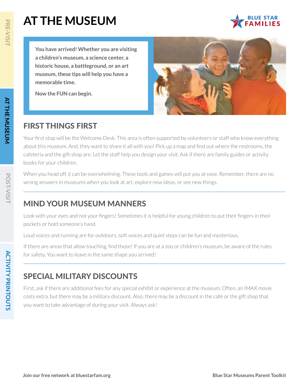**You have arrived! Whether you are visiting a children's museum, a science center, a historic house, a battleground, or an art museum, these tips will help you have a memorable time.**

**Now the FUN can begin.**



### FIRST THINGS FIRST

Your first stop will be the Welcome Desk. This area is often supported by volunteers or staff who know everything about this museum. And, they want to share it all with you! Pick up a map and find out where the restrooms, the cafeteria and the gift shop are. Let the staff help you design your visit. Ask if there are family guides or activity books for your children.

When you head off, it can be overwhelming. These tools and games will put you at ease. Remember, there are no wrong answers in museums when you look at art, explore new ideas, or see new things.

### MIND YOUR MUSEUM MANNERS

Look with your eyes and not your fingers! Sometimes it is helpful for young children to put their fingers in their pockets or hold someone's hand.

Loud voices and running are for outdoors, soft voices and quiet steps can be fun and mysterious.

If there are areas that allow touching, find those! If you are at a zoo or children's museum, be aware of the rules for safety. You want to leave in the same shape you arrived!

### SPECIAL MILITARY DISCOUNTS

First, ask if there are additional fees for any special exhibit or experience at the museum. Often, an IMAX movie costs extra, but there may be a military discount. Also, there may be a discount in the café or the gift shop that you want to take advantage of during your visit. Always ask!

**ACTIVITY PRINTOUTS**

**ACTIVITY PRINTOUTS**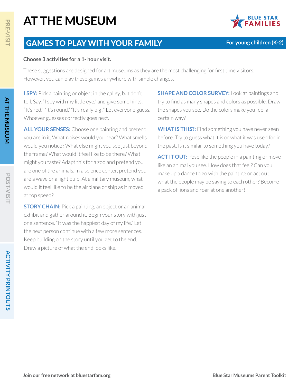

**For young children (K-2)** 

### GAMES TO PLAY WITH YOUR FAMILY

#### **Choose 3 activities for a 1- hour visit.**

These suggestions are designed for art museums as they are the most challenging for first time visitors. However, you can play these games anywhere with simple changes.

**I SPY:** Pick a painting or object in the galley, but don't tell. Say, "I spy with my little eye," and give some hints. "It's red." "It's round." "It's really big!" Let everyone guess. Whoever guesses correctly goes next.

**ALL YOUR SENSES:** Choose one painting and pretend you are in it. What noises would you hear? What smells would you notice? What else might you see just beyond the frame? What would it feel like to be there? What might you taste? Adapt this for a zoo and pretend you are one of the animals. In a science center, pretend you are a wave or a light bulb. At a military museum, what would it feel like to be the airplane or ship as it moved at top speed?

**STORY CHAIN:** Pick a painting, an object or an animal exhibit and gather around it. Begin your story with just one sentence. "It was the happiest day of my life." Let the next person continue with a few more sentences. Keep building on the story until you get to the end. Draw a picture of what the end looks like.

**SHAPE AND COLOR SURVEY:** Look at paintings and try to find as many shapes and colors as possible. Draw the shapes you see. Do the colors make you feel a certain way?

**WHAT IS THIS?:** Find something you have never seen before. Try to guess what it is or what it was used for in the past. Is it similar to something you have today?

**ACT IT OUT:** Pose like the people in a painting or move like an animal you see. How does that feel? Can you make up a dance to go with the painting or act out what the people may be saying to each other? Become a pack of lions and roar at one another!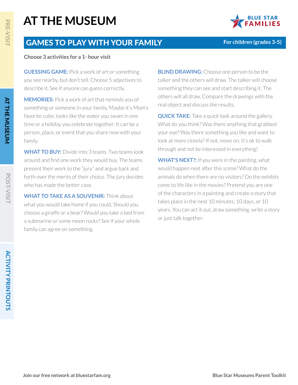

**For children (grades 3-5)**

### GAMES TO PLAY WITH YOUR FAMILY

#### **Choose 3 activities for a 1- hour visit**

**GUESSING GAME:** Pick a work of art or something you see nearby, but don't tell. Choose 5 adjectives to describe it. See if anyone can guess correctly.

**MEMORIES:** Pick a work of art that reminds you of something or someone in your family. Maybe it's Mom's favorite color, looks like the water you swam in one time or a holiday you celebrate together. It can be a person, place, or event that you share now with your family.

**WHAT TO BUY:** Divide into 3 teams. Two teams look around and find one work they would buy. The teams present their work to the "jury" and argue back and forth over the merits of their choice. The jury decides who has made the better case.

**WHAT TO TAKE AS A SOUVENIR:** Think about what you would take home if you could. Should you choose a giraffe or a bear? Would you take a bed from a submarine or some moon rocks? See if your whole family can agree on something.

**BLIND DRAWING:** Choose one person to be the talker and the others will draw. The talker will choose something they can see and start describing it. The others will all draw. Compare the drawings with the real object and discuss the results.

**QUICK TAKE:** Take a quick look around the gallery. What do you think? Was there anything that grabbed your eye? Was there something you like and want to look at more closely? If not, move on. It's ok to walk through and not be interested in everything!

**WHAT'S NEXT?:** If you were in the painting, what would happen next after this scene? What do the animals do when there are no visitors? Do the exhibits come to life like in the movies? Pretend you are one of the characters in a painting and create a story that takes place in the next 10 minutes, 10 days, or 10 years. You can act it out, draw something, write a story or just talk together.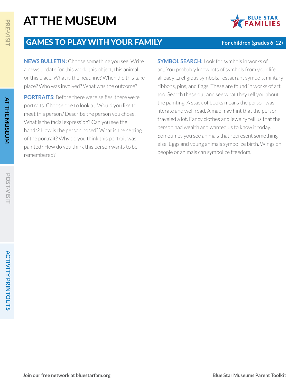

**For children (grades 6-12)**

### GAMES TO PLAY WITH YOUR FAMILY

**NEWS BULLETIN:** Choose something you see. Write a news update for this work, this object, this animal, or this place. What is the headline? When did this take place? Who was involved? What was the outcome?

**PORTRAITS:** Before there were selfies, there were portraits. Choose one to look at. Would you like to meet this person? Describe the person you chose. What is the facial expression? Can you see the hands? How is the person posed? What is the setting of the portrait? Why do you think this portrait was painted? How do you think this person wants to be remembered?

**SYMBOL SEARCH:** Look for symbols in works of art. You probably know lots of symbols from your life already….religious symbols, restaurant symbols, military ribbons, pins, and flags. These are found in works of art too. Search these out and see what they tell you about the painting. A stack of books means the person was literate and well read. A map may hint that the person traveled a lot. Fancy clothes and jewelry tell us that the person had wealth and wanted us to know it today. Sometimes you see animals that represent something else. Eggs and young animals symbolize birth. Wings on people or animals can symbolize freedom.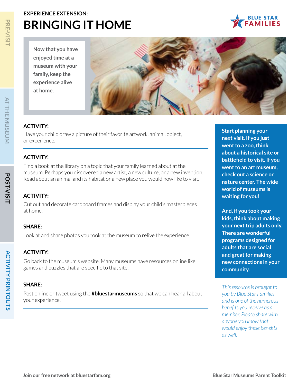### **EXPERIENCE EXTENSION: BRINGING IT HOME**

**Now that you have enjoyed time at a museum with your family, keep the experience alive at home.**



### **ACTIVITY:**

Have your child draw a picture of their favorite artwork, animal, object, or experience.

### **ACTIVITY:**

Find a book at the library on a topic that your family learned about at the museum. Perhaps you discovered a new artist, a new culture, or a new invention. Read about an animal and its habitat or a new place you would now like to visit.

#### **ACTIVITY:**

Cut out and decorate cardboard frames and display your child's masterpieces at home.

#### **SHARE:**

Look at and share photos you took at the museum to relive the experience.

#### **ACTIVITY:**

Go back to the museum's website. Many museums have resources online like games and puzzles that are specific to that site.

#### **SHARE:**

Post online or tweet using the **#bluestarmuseums** so that we can hear all about your experience.

**Start planning your next visit. If you just went to a zoo, think about a historical site or battlefield to visit. If you went to an art museum, check out a science or nature center. The wide world of museums is waiting for you!**

**And, if you took your kids, think about making your next trip adults only. There are wonderful programs designed for adults that are social and great for making new connections in your community.**

*This resource is brought to you by Blue Star Families and is one of the numerous benefits you receive as a member. Please share with anyone you know that would enjoy these benefits as well.*

**POST-VISIT**

**POST-VISIT** 

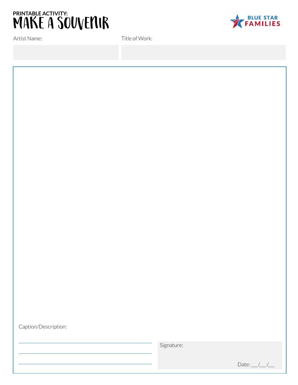

Artist Name:

Title of Work:



Caption/Description:

Signature:

Date:  $\_\,\_\,\_\,\_\,\_\,\_\$